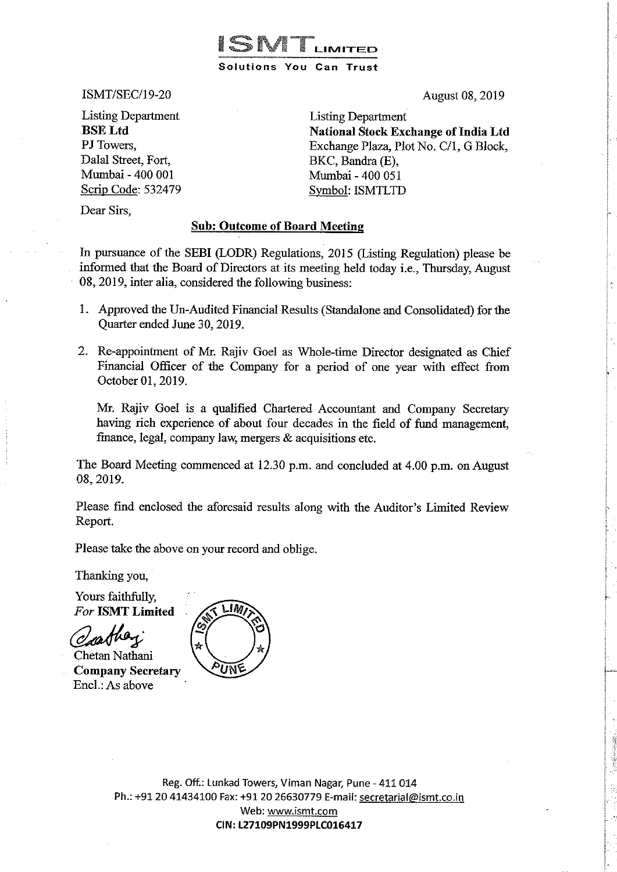

ISMT/SEC/19-20

Listing Department BSELtd PJ Towers, Dalal Street, Fort, Mumbai- 400 001 Scrip Code: 532479 August 08, 2019

Listing Department National Stock Exchange of India Ltd Exchange Plaza, Plot No. C/1, G Block, BKC, Bandra (E), Mumbai- 400 051 Symbol: ISMTLTD

Dear Sirs,

## Sub: Outcome of Board Meeting

In pursuance of the SEBI (LODR) Regulations, 2015 (Listing Regulation) please be informed that the Board of Directors at its meeting held today i.e., Thursday, August 08, 2019, inter alia, considered the following business:

- 1. Approved the Un-Audited Financial Results (Standalone and Consolidated) for the Quarter ended June 30,2019.
- 2. Re-appointment of Mr. Rajiv Goel as Whole-time Director designated as Chief Financial Officer of the Company for a period of one year with effect from October 01, 2019.

Mr. Rajiv Goel is a qualified Chartered Accountant and Company Secretary having rich experience of about four decades in the field of fund management, finance, legal, company law, mergers & acquisitions etc.

The Board Meeting commenced at 12.30 p.m. and concluded at 4.00 p.m. on August 08, 2019.

Please find enclosed the aforesaid results along with the Auditor's Limited Review Report.

Please take the above on your record and oblige.

Thanking you,

Yours faithfully, *For* ISMT Limited

— — — 100 \ Chetan Nathani Company Secretary Encl.: As above



Reg. Off.: Lunkad Towers, Viman Nagar, Pune- 411 014 Ph.: +91 20 41434100 Fax: +91 20 26630779 E-mail: secretarial@ismt.co.in Web: www.ismt.com CIN:L27109PN1999PLC016417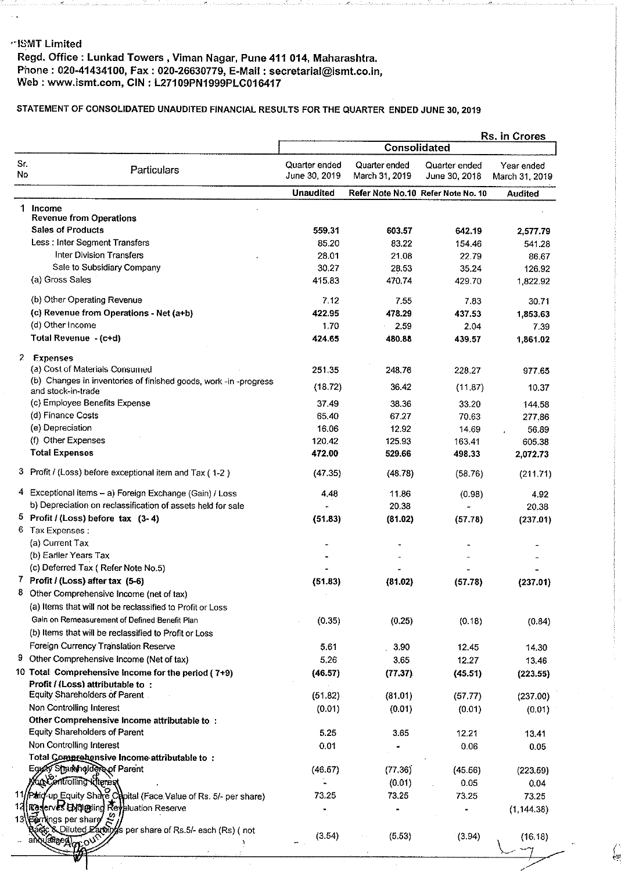## ··ISMT Limited

## Regd. Office : Lunkad Towers , Viman Nagar, Pune 411 **014,** Maharashtra. P'none: 020-41434100, Fax: 020-26630779, E-Mail: secretarial@ismt.co.in, Web: www.ismt.com, **CIN** : L27109PN1999PLC016417

## STATEMENT OF CONSOLIDATED UNAUDITED FINANCIAL RESULTS FOR THE QUARTER ENDED JUNE 30,2019

|            |                                                                               | Rs. in Crores                  |                                 |                                    |                              |  |
|------------|-------------------------------------------------------------------------------|--------------------------------|---------------------------------|------------------------------------|------------------------------|--|
|            |                                                                               |                                | Consolidated                    |                                    |                              |  |
| Sr.<br>No. | Particulars                                                                   | Quarter ended<br>June 30, 2019 | Quarter ended<br>March 31, 2019 | Quarter ended<br>June 30, 2018     | Year ended<br>March 31, 2019 |  |
|            |                                                                               | <b>Unaudited</b>               |                                 | Refer Note No.10 Refer Note No. 10 | <b>Audited</b>               |  |
| 1.         | Income                                                                        |                                |                                 |                                    |                              |  |
|            | <b>Revenue from Operations</b>                                                |                                |                                 |                                    |                              |  |
|            | <b>Sales of Products</b>                                                      | 559 31                         | 603.57                          | 642.19                             | 2,577.79                     |  |
|            | Less : Inter Segment Transfers                                                | 85.20                          | 83.22                           | 154.46                             | 541.28                       |  |
|            | Inter Division Transfers                                                      | 28.01                          | 21.08                           | 22.79                              | 86.67                        |  |
|            | Sale to Subsidiary Company                                                    | 30.27                          | 28.53                           | 35.24                              | 126.92                       |  |
|            | (a) Gross Sales                                                               | 415.83                         | 470.74                          | 429.70                             | 1,822.92                     |  |
|            | (b) Other Operating Revenue                                                   | 7.12                           | 7.55                            | 7.83                               | 30.71                        |  |
|            | (c) Revenue from Operations - Net (a+b)                                       | 422.95                         | 478.29                          | 437.53                             | 1,853.63                     |  |
|            | (d) Other Income                                                              | 170                            | 2.59                            | 2.04                               | 7.39                         |  |
|            | Total Revenue - (c+d)                                                         | 424.65                         | 480.88                          | 439.57                             | 1,861.02                     |  |
|            | 2 Expenses                                                                    |                                |                                 |                                    |                              |  |
|            | (a) Cost of Materials Consumed                                                | 251.35                         | 248.76                          | 228.27                             | 977.65                       |  |
|            | (b) Changes in inventories of finished goods, work -in -progress              | (18.72)                        | 36.42                           |                                    |                              |  |
|            | and stock-in-trade                                                            |                                |                                 | (11.87)                            | 10.37                        |  |
|            | (c) Employee Benefits Expense                                                 | 37.49                          | 38.36                           | 33.20                              | 144.58                       |  |
|            | (d) Finance Costs                                                             | 65.40                          | 67.27                           | 70.63                              | 277,86                       |  |
|            | (e) Depreciation                                                              | 16.06                          | 12.92                           | 14.69                              | 56.89                        |  |
|            | (f) Other Expenses                                                            | 120.42                         | 125.93                          | 163.41                             | 605.38                       |  |
|            | <b>Total Expenses</b>                                                         | 472.00                         | 529.66                          | 498.33                             | 2,072.73                     |  |
|            | 3 Profit / (Loss) before exceptional item and Tax (1-2)                       | (47.35)                        | (48.78)                         | (58.76)                            | (211.71)                     |  |
|            | 4 Exceptional items - a) Foreign Exchange (Gain) / Loss                       | 4.48                           | 11.86                           | (0.98)                             | 4.92                         |  |
|            | b) Depreciation on reclassification of assets held for sale                   |                                | 20.38                           |                                    | 20.38                        |  |
|            | 5 Profit / (Loss) before tax $(3-4)$                                          | (51.83)                        | (81.02)                         | (57.78)                            | (237.01)                     |  |
|            | 6 Tax Expenses:                                                               |                                |                                 |                                    |                              |  |
|            | (a) Current Tax                                                               |                                |                                 |                                    |                              |  |
|            | (b) Earlier Years Tax<br>(c) Deferred Tax (Refer Note No.5)                   |                                |                                 |                                    |                              |  |
|            | 7 Profit / (Loss) after tax (5-6)                                             |                                |                                 |                                    |                              |  |
|            | Other Comprehensive Income (net of tax)                                       | (51.83)                        | (81.02)                         | (57.78)                            | (237.01)                     |  |
|            | (a) Items that will not be reclassified to Profit or Loss                     |                                |                                 |                                    |                              |  |
|            | Gain on Remeasurement of Defined Benefit Plan                                 | (0.35)                         | (0.25)                          | (0.18)                             | (0.84)                       |  |
|            | (b) Items that will be reclassified to Profit or Loss                         |                                |                                 |                                    |                              |  |
|            | Foreign Currency Translation Reserve                                          | 5.61                           | 3.90                            | 12.45                              | 14.30                        |  |
| 9.         | Other Comprehensive Income (Net of tax)                                       | 5.26                           | 3.65                            | 12.27                              | 13.46                        |  |
|            | 10 Total Comprehensive Income for the period (7+9)                            | (46.57)                        | (77.37)                         | (45.51)                            | (223.55)                     |  |
|            | Profit / (Loss) attributable to:                                              |                                |                                 |                                    |                              |  |
|            | Equity Shareholders of Parent.                                                | (51.82)                        | (81.01)                         | (57.77)                            | (237.00)                     |  |
|            | Non Controlling Interest                                                      | (0.01)                         | (0.01)                          | (0.01)                             | (0.01)                       |  |
|            | Other Comprehensive Income attributable to :                                  |                                |                                 |                                    |                              |  |
|            | Equity Shareholders of Parent                                                 | 5.25                           | 3.65                            | 12.21                              | 13.41                        |  |
|            | Non Controlling Interest                                                      | 0.01                           |                                 | 0.06                               | 0.05                         |  |
|            | Total Comprehensive Income attributable to:<br>Egyfly Stjareholdere of Parent |                                |                                 |                                    |                              |  |
|            | <b>Controlling Witerest</b>                                                   | (46.67)                        | (77.36)                         | (45.56)                            | (223.59)                     |  |
|            | 11/Phiq-up Equity Share Capital (Face Value of Rs. 5/- per share)             | 73.25                          | (0.01)<br>73.25                 | 0.05                               | 0.04                         |  |
| 13         | erves EM @ling Reyaluation Reserve<br>। १२९                                   |                                |                                 | 73.25                              | 73.25                        |  |
|            | 13 Earlings per share                                                         |                                |                                 |                                    | (1, 144.38)                  |  |
|            | & Diluted Earchoffs per share of Rs.5/- each (Rs) (not                        | (3.54)                         | (5.53)                          |                                    |                              |  |
|            | аЯвед                                                                         |                                |                                 | (3.94)                             | (16.18)                      |  |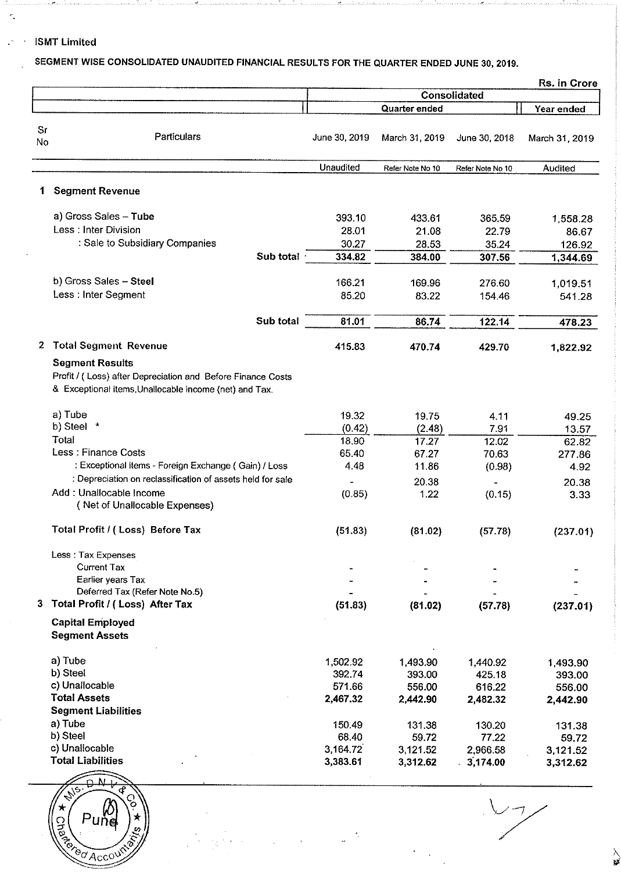## ISMT Limited

Andrea and the series of the series

 $\tilde{\epsilon}_*$ 

 $\mathbb{R}^4$ 

## SEGMENT WISE CONSOLIDATED UNAUDITED FINANCIAL RESULTS FOR THE QUARTER ENDED JUNE 30, 2019.

|           |                                                                                                                                                 |                   |                      |                       | Rs. in Crore         |  |  |
|-----------|-------------------------------------------------------------------------------------------------------------------------------------------------|-------------------|----------------------|-----------------------|----------------------|--|--|
|           |                                                                                                                                                 |                   |                      | Consolidated          |                      |  |  |
|           |                                                                                                                                                 |                   | Quarter ended        |                       | Year ended           |  |  |
| Sr<br>No. | Particulars                                                                                                                                     | June 30, 2019     | March 31, 2019       | June 30, 2018         | March 31, 2019       |  |  |
|           |                                                                                                                                                 | <b>Unaudited</b>  | Refer Note No 10     | Refer Note No 10      | Audited              |  |  |
| 1         | <b>Segment Revenue</b>                                                                                                                          |                   |                      |                       |                      |  |  |
|           | a) Gross Sales - Tube                                                                                                                           | 393.10            | 433.61               | 365.59                | 1,558.28             |  |  |
|           | Less: Inter Division                                                                                                                            | 28.01             | 21.08                | 22.79                 | 86.67                |  |  |
|           | : Sale to Subsidiary Companies                                                                                                                  | 30.27             | 28.53                | 35.24                 | 126.92               |  |  |
|           | Sub total                                                                                                                                       | 334.82            | 384.00               | 307.56                | 1,344.69             |  |  |
|           | b) Gross Sales - Steel                                                                                                                          | 166.21            | 169.96               | 276.60                | 1,019.51             |  |  |
|           | Less : Inter Segment                                                                                                                            | 85.20             | 83.22                | 154.46                | 541.28               |  |  |
|           | Sub total                                                                                                                                       | 81.01             | 86.74                | 122.14                | 478.23               |  |  |
| 2         | <b>Total Segment Revenue</b>                                                                                                                    | 415.83            | 470.74               | 429.70                | 1,822.92             |  |  |
|           | <b>Segment Results</b><br>Profit / (Loss) after Depreciation and Before Finance Costs<br>& Exceptional items, Unallocable income (net) and Tax. |                   |                      |                       |                      |  |  |
|           | a) Tube                                                                                                                                         | 19.32             | 19.75                | 4.11                  | 49.25                |  |  |
|           | b) Steel *                                                                                                                                      | (0.42)            | (2.48)               | 7.91                  | 13.57                |  |  |
|           | Total                                                                                                                                           | 18.90             | 17.27                | 12.02                 | 62.82                |  |  |
|           | Less : Finance Costs                                                                                                                            | 65.40             | 67.27                | 70.63                 | 277.86               |  |  |
|           | : Exceptional items - Foreign Exchange (Gain) / Loss                                                                                            | 4.48              | 11.86                | (0.98)                | 4.92                 |  |  |
|           | : Depreciation on reclassification of assets held for sale                                                                                      |                   | 20.38                |                       | 20.38                |  |  |
|           | Add: Unallocable Income<br>(Net of Unallocable Expenses)                                                                                        | (0.85)            | 1.22                 | (0.15)                | 3.33                 |  |  |
|           | Total Profit / (Loss) Before Tax                                                                                                                | (51.83)           | (81.02)              | (57.78)               | (237.01)             |  |  |
|           | Less: Tax Expenses                                                                                                                              |                   |                      |                       |                      |  |  |
|           | <b>Current Tax</b>                                                                                                                              |                   |                      |                       |                      |  |  |
|           | Earlier years Tax<br>Deferred Tax (Refer Note No.5)                                                                                             |                   |                      |                       |                      |  |  |
|           | Total Profit / (Loss) After Tax                                                                                                                 | (51.83)           | (81.02)              | (57.78)               | (237.01)             |  |  |
|           | <b>Capital Employed</b><br><b>Segment Assets</b>                                                                                                |                   |                      |                       |                      |  |  |
|           | a) Tube                                                                                                                                         | 1,502.92          | 1,493.90             | 1,440.92              | 1493.90              |  |  |
|           | b) Steel                                                                                                                                        | 392.74            | 393.00               | 425.18                | 393.00               |  |  |
|           | c) Unallocable                                                                                                                                  | 571.66            | 556.00               | 616.22                | 556.00               |  |  |
|           | <b>Total Assets</b>                                                                                                                             | 2,467.32          | 2,442.90             | 2,482.32              | 2,442.90             |  |  |
|           | <b>Segment Liabilities</b>                                                                                                                      |                   |                      |                       |                      |  |  |
|           | a) Tube<br>b) Steel                                                                                                                             | 150.49            | 131.38               | 130.20                | 131.38               |  |  |
|           | c) Unallocable                                                                                                                                  | 68.40<br>3,164.72 | 59.72                | 77.22                 | 59.72                |  |  |
|           | <b>Total Liabilities</b>                                                                                                                        | 3,383.61          | 3,121.52<br>3,312.62 | 2,966.58<br>.3,174.00 | 3,121.52<br>3,312.62 |  |  |
|           |                                                                                                                                                 |                   |                      |                       |                      |  |  |

 $\star$  $P$ une Che Tered Account

 $\begin{matrix} 1 \ 1 \ 1 \end{matrix}$ 

 $\geq$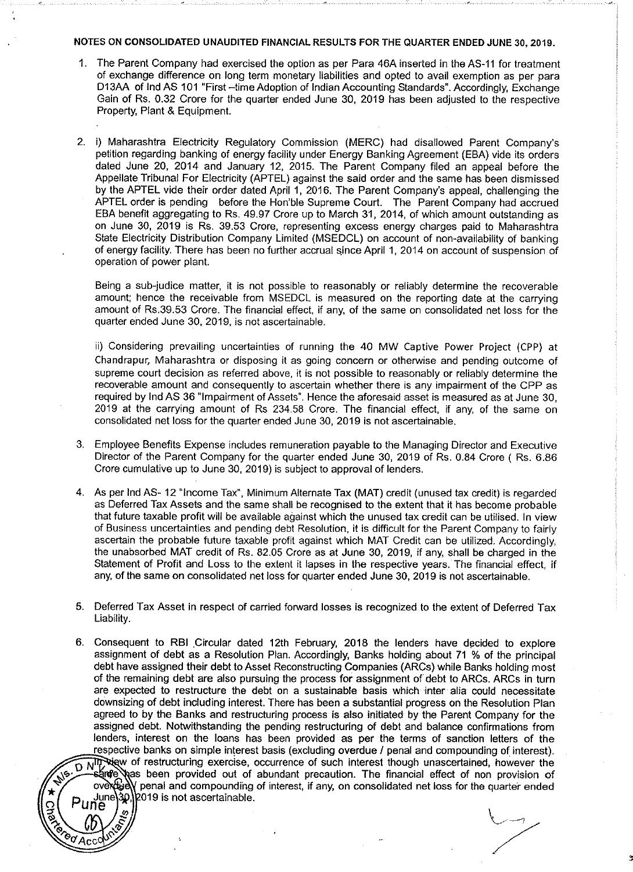#### NOTES ON CONSOLIDATED UNAUDITED FINANCIAL RESULTS FOR THE QUARTER ENDED JUNE 30, 2019.

- 1. The Parent Company had exercised the oplion as per Para 46A inserted in the AS-11 for treatment of exchange difference on long term monetary liabilities and opted to avail exemption as per para D13AA of lnd AS 101 "First -time Adoption of Indian Accounting Standards". Accordingly, Exchange Gain of Rs. 0.32 Crore for the quarter ended June 30, 2019 has been adjusted to the respective Property, Plant & Equipment.
- 2. i) Maharashtra Electricity Regulatory Commission (MERC) had disallowed Parent Company's petition regarding banking of energy facility under Energy Banking Agreement (EBA) vide its orders dated June 20, 2014 and January 12, 2015. The Parent Company filed an appeal before the Appellate Tribunal For Electricity (APTEL) against the said order and the same has been dismissed by the APTEL vide their order dated April 1, 2016. The Parent Company's appeal, challenging the APTEL order is pending before the Hon'ble Supreme Court. The Parent Company had accrued EBA benefit aggregating to Rs. 49.97 Crore up to March 31, 2014, of which amount outstanding as on June 30, 2019 is Rs. 39.53 Crore, representing excess energy charges paid to Maharashtra State Electricity Distribution Company Limited (MSEDCL) on account of non-availability of banking of energy facility. There has been no further accrual since April 1, 2014 on account of suspension of operation of power plant.

Being a sub-judice matter, it is not possible to reasonably or reliably determine the recoverable amount; hence the receivable from MSEDCL is measured on the reporting date at the carrying amount of Rs.39.53 Crore. The financial effect, if any, of the same on consolidated net loss for the quarter ended June 30, 2019, is not ascertainable.

ii) Considering prevailing uncertainties of running the 40 MW Captive Power Project (CPP) at Chandrapur, Maharashtra or disposing it as going concern or otherwise and pending outcome of supreme court decision as referred above, it is not possible to reasonably or reliably determine the recoverable amount and consequently to ascertain whether there is any impairment of the CPP as required by lnd AS 36 "Impairment of Assets". Hence the aforesaid asset is measured as at June 30, 2019 at the carrying amount of Rs 234.58 Crore. The financial effect, if any, of the same on consolidated net loss for the quarter ended June 30, 201g is not ascertainable.

- 3. Employee Benefits Expense includes remuneration payable to the Managing Director and Executive Director of the Parent Company for the quarter ended June 30, 2019 of Rs. 0.84 Crore ( Rs. 6.86 Crore cumulative up to June 30, 2019) is subject to approval of lenders.
- 4. As per lnd AS- 12 "Income Tax", Minimum Alternate Tax (MAT) credit (unused tax credit) is regarded as Deferred Tax Assets and the same shall be recognised to the extent that it has become probable that future taxable profit will be available against which the unused tax credit can be utilised. In view of Business uncertainties and pending debt Resolution, it is difficult for the Parent Company to fairly ascertain the probable future taxable profit against which MAT Credit can be utilized. Accordingly, the unabsorbed MAT credit of Rs. 82.05 Crore as at June 30, 2019, if any, shall be charged in the Statement of Profit and Loss to the extent it lapses in the respective years. The financial effect, if any, of the same on consolidated net loss for quarter ended June 30, 2019 is not ascertainable.
- 5. Deferred Tax Asset in respect of carried forward losses is recognized to the extent of Deferred Tax Liability.
- 6. Consequent to RBI Circular dated 12th February, 2018 the lenders have decided to explore assignment of debt as a Resolution Plan. Accordingly, Banks holding about 71 % of the principal debt have assigned their debt to Asset Reconstructing Companies (ARCs) while Banks holding most of the remaining debt are also pursuing the process for assignment of debt to ARCs. ARCs in turn are expected to restructure the debt on a sustainable basis which inter alia could necessitate downsizing of debt including interest. There has been a substantial progress on the Resolution Plan agreed to by the Banks and restructuring process is also initiated by the Parent Company for the assigned debt. Notwithstanding the pending restructuring of debt and balance confirmations from lenders, interest on the loans has been provided as per the terms of sanction letters of the respective banks on simple interest basis (excluding overdue / penal and compounding of interest). D NIT New of restructuring exercise, occurrence of such interest though unascertained, however the starter was been provided out of abundant precaution. The financial effect of non provision of overduely nenal and compound over  $\mathbb{Q}$  penal and compounding of interest, if any, on consolidated net loss for the quarter ended June**\30,\P**019 is not ascertainable.

 $\mathbf{\hat{e}_{\sigma}}$ Acc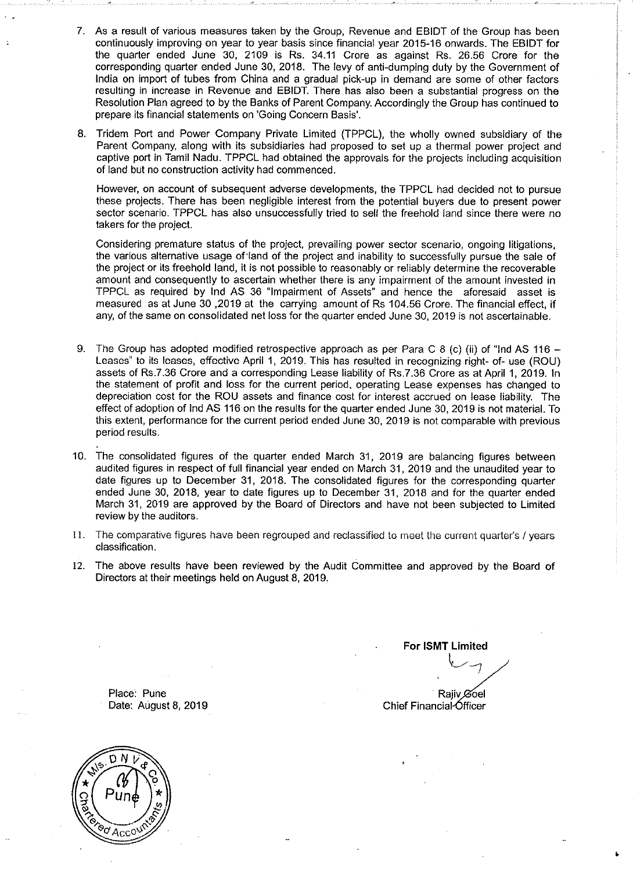- 7. As a result of various measures taken by the Group, Revenue and EBIDT of the Group has been continuously improving on year to year basis since financial year 2015-16 onwards. The EBIDT for the quarter ended June 30, 2109 is Rs. 34.11 Crore as against Rs. 26.56 Crore for the corresponding quarter ended June 30, 2018. The levy of anti-dumping duty by the Government of India on import of tubes from China and a gradual pick-up in demand are some of other factors resulting in increase in Revenue and EBIDT. There has also been a substantial progress on the Resolution Plan agreed to by the Banks of Parent Company. Accordingly the Group has continued to prepare its financial statements on 'Going Concern Basis'.
- 8. Tridem Port and Power Company Private Limited (TPPCL), the wholly owned subsidiary of the Parent Company, along with its subsidiaries had proposed to set up a thermal power project and captive port in Tamil Nadu. TPPCL had obtained the approvals for the projects including acquisition of land but no construction activity had commenced.

However, on account of subsequent adverse developments, the TPPCL had decided not to pursue these projects. There has been negligible interest from the potential buyers due to present power sector scenario. TPPCL has also unsuccessfully tried to sell the freehold land since there were no takers for the project.

Considering premature status of the project, prevailing power sector scenario, ongoing litigations, the various alternative usage of·land of the project and inability to successfully pursue the sale of the project or its freehold land, it is not possible to reasonably or reliably determine the recoverable amount and consequently to ascertain whether there is any impairment of the amount invested in TPPCL as required by lnd AS 36 "Impairment of Assets" and hence the aforesaid asset is measured as at June 30 ,2019 at the carrying amount of Rs 104.56 Crore. The financial effect, if any, of the same on consolidated net loss for the quarter ended June 30, 2019 is not ascertainable.

- 9. The Group has adopted modified retrospective approach as per Para C 8 (c) (ii) of "lnd AS 116 -Leases" to its leases, effective April 1, 2019. This has resulted in recognizing right- of- use (ROU) assets of Rs.7.36 Crore and a corresponding Lease liability of Rs.7.36 Crore as at April 1, 2019. In the statement of profit and loss for the current period, operating Lease expenses has changed to depreciation cost for the ROU assets and finance cost for interest accrued on lease liability. The effect of adoption of lnd AS 116 on the results for the quarter ended June 30, 2019 is not material. To this extent, performance for the current period ended June 30, 2019 is not comparable with previous period results.
- 10. The consolidated figures of the quarter ended March 31, 2019 are balancing figures between audited figures in respect of full financial year ended on March 31, 2019 and the unaudited year to date figures up to December 31, 2018. The consolidated figures for the corresponding quarter ended June 30, 2018, year to date figures up to December 31, 2018 and for the quarter ended March 31, 2019 are approved by the Board of Directors and have not been subjected to Limited review by the auditors.
- 11. The comparative figures have been regrouped and reclassified to meet the current quarter's I years classification.
- 12. The above results have been reviewed by the Audit Committee and approved by the Board of Directors at their meetings held on August 8, 2019.

Place: Puhe Date: August 8, 2019

**For ISMT Limited**   $\sim$ Rajiv Øoel Chief Financial Officer

•

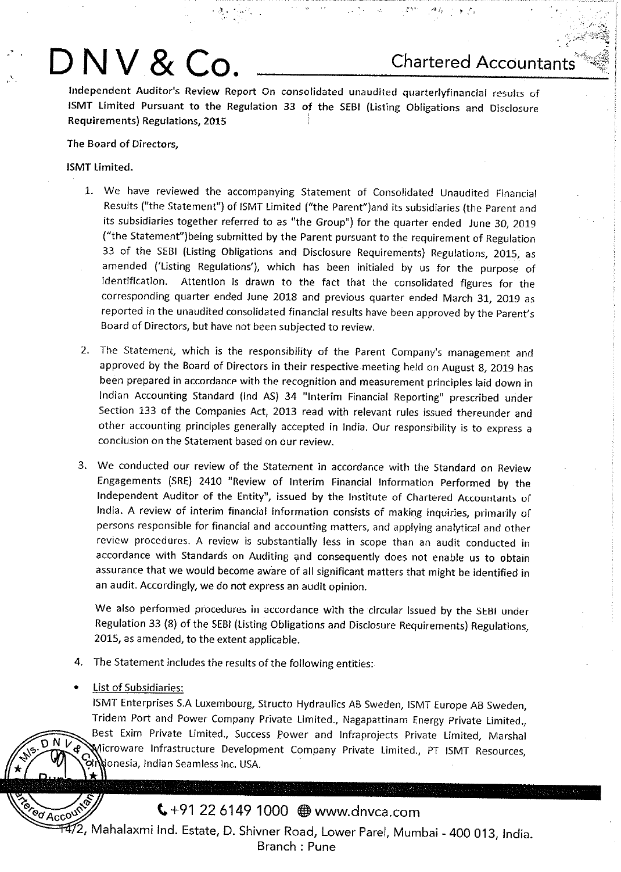# **D NV & Co. Chartered Accountants**

Independent Auditor's Review Report On consolidated unaudited quarterlyfinancial results of ISMT limited Pursuant to the Regulation 33 of the SEBI (listing Obligations and Disclosure Requirements) Regulations, 2015

**·'t.'** • ,·~ ,·, "' *:* ;

## The Board of Directors,

## ISMT limited.

- 1. We have reviewed the accompanying Statement of Consolidated Unaudited Financial Results ("the Statement") of ISMT limited ("the Parent")and its subsidiaries (the Parent and its subsidiaries together referred to as "the Group") for the quarter ended June 30, 2019 ("the Statement") being submitted by the Parent pursuant to the requirement of Regulation <sup>33</sup>of the SEBI (Listing Obligations and Disclosure Requirements) Regulations, 2015, as amended ('Listing Regulations'), which has been initialed by us for the purpose of Identification. Attention Is drawn to the fact that the consolidated figures for the corresponding quarter ended June 2018 and previous quarter ended March 31, 2019 as reported in the unaudited consolidated financial results have been approved by the Parent's Board of Directors, but have not been subjected to review.
- 2. The Statement, which is the responsibility of the Parent Company's management and approved by the Board of Directors in their respective.meeting held on August 8, 2019 has been prepared in accordance with the recognition and measurement principles laid down in Indian Accounting Standard (lnd AS) 34 "Interim Financial Reporting" prescribed urider Section 133 of the Companies Act, 2013 read with relevant rules issued thereunder and other accounting principles generally accepted in India. Our responsibility is to express a conclusion on the Statement based on our review.
- 3. We conducted our review of the Statement in accordance with the Standard on Review Engagements (SRE) 2410 "Review of Interim Financial Information Performed by the Independent Auditor of the Entity", issued by the Institute of Chartered Accountants of India. A review of interim financial information consists of making inquiries, primarily or persons responsible for financial and accounting matters, and applying analytical and other review procedures. A review is substantially less in scope than an audit conducted in accordance with Standards on Auditing and consequently does not enable us to obtain assurance that we would become aware of all significant matters that might be identified in an audit. Accordingly, we do not express an audit opinion.

We also performed procedures in accordance with the circular Issued by the SEBI under Regulation 33 (8) of the SEBI (Listing Obligations and Disclosure Requirements) Regulations, 2015, as amended, to the extent applicable.

- 4. The Statement includes the results of the following entities:
- **List of Subsidiaries:**

 $\overline{O}$   $\overline{N}$   $\overline{V}$   $\oplus$ 

ISMT Enterprises S.A Luxembourg, Structo Hydraulics AB Sweden, ISMT Europe AB Sweden, Tridem Port and Power Company Private limited., Nagapattinam Energy Private Limited., Best Exim Private Limited., Success power and lnfraprojects Private Limited, Marshal Wicroware Infrastructure Development Company Private Limited., PT ISMT Resources, donesia, Indian Seamless Inc. USA.

## $\left( +91\right.$  22 6149 1000  $\bigoplus$  www.dnvca.com

**Tered Account**  $\widetilde{H472}$ , Mahalaxmi Ind. Estate, D. Shivner Road, Lower Parel, Mumbai - 400 013, India. Branch : Pune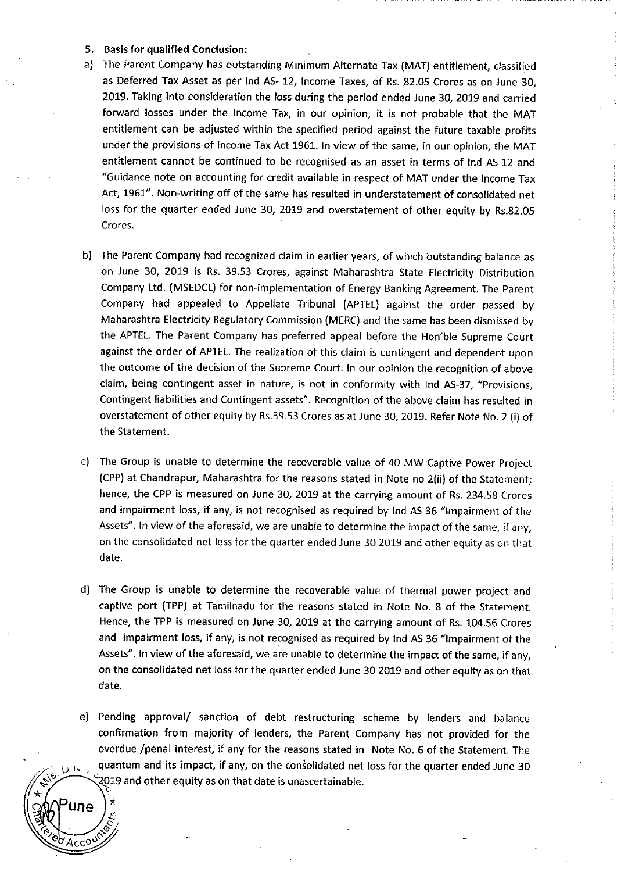#### 5. Basis **for qualified** Conclusion:

( . .,.

**Algi** 

- a) I he Parent Company has outstanding Minimum Alternate Tax (MAT) entitlement, classified as Deferred Tax Asset as per lnd AS- 12, Income Taxes, of Rs. 82.05 Crores as on June 30, 2019. Taking into consideration the loss during the period ended June 30, 2019 and carried forward losses under the Income Tax, in our opinion, it is not probable that the MAT entitlement can be adjusted within the specified period against the future taxable profits under the provisions of Income Tax Act 1961. In view of the same, in our opinion, the MAT entitlement cannot be continued to be recognised as an asset in terms of lnd AS-12 and "Guidance note on accounting for credit available in respect of MAT under the Income Tax Act, 1961". Non-writing off of the same has resulted in understatement of consolidated net loss for the quarter ended June 30, 2019 and overstatement of other equity by Rs.82.05 Crores.
- b) The Parent Company had recognized claim in earlier years, of which outstanding balance as on June 30, 2019 is Rs. 39.53 Crores, against Maharashtra State Electricity Distribution Company Ltd. (MSEDCL) for non-implementation of Energy Banking Agreement. The Parent Company had appealed to Appellate Tribunal (APTEL) against the order passed by Maharashtra Electricity Regulatory Commission (MERC) and the same has been dismissed by the APTEL. The Parent Company has preferred appeal before the Hon'ble Supreme Court against the order of APTEL. The realization of this claim is contingent and dependent upon the outcome of the decision of the Supreme Court. In our opinion the recognition of above claim, being contingent asset in nature, is not in conformity with lnd AS-37, "Provisions, Contingent liabilities and Contingent assets". Recognition of the above claim has resulted in overstatement of other equity by Rs.39.53 Crores as at June 30, 2019. Refer Note No. 2 (i) of the Statement.
- c) The Group is unable to determine the recoverable value of 40 MW Captive Power Project (CPP) at Chandrapur, Maharashtra for the reasons stated in Note no 2(ii) of the Statement; hence, the CPP is measured on June 30, 2019 at the carrying amount of Rs. 234.58 Crores and impairment loss, if any, is not recognised as required by lnd AS 36 "Impairment of the Assets". In view of the aforesaid, we are unable to determine the impact of the same, if any, on the consolidated net loss for the quarter ended June 30 2019 and other equity as on that date.
- d) The Group is unable to determine the recoverable value of thermal power project and captive port (TPP) at Tamilnadu for the reasons stated in Note No. 8 of the Statement. Hence, the TPP is measured on June 30, 2019 at the carrying amount of Rs. 104.56 Crores and impairment loss, if any, is not recognised as required by lnd AS 36 "Impairment of the Assets". In view of the aforesaid, we are unable to determine the impact of the same, if any, on the consolidated net loss for the quarter ended June 30 2019 and other equity as on that date.
- e) Pending approval/ sanction of debt restructuring scheme by lenders and balance confirmation from majority of lenders, the Parent Company has not provided for the overdue /penal interest, if any for the reasons stated in Note No. 6 of the Statement. The  $\mu$ <sub>V</sub> quantum and its impact, if any, on the consolidated net loss for the quarter ended June 30 ~19 and other equity as on that date is unascertainable.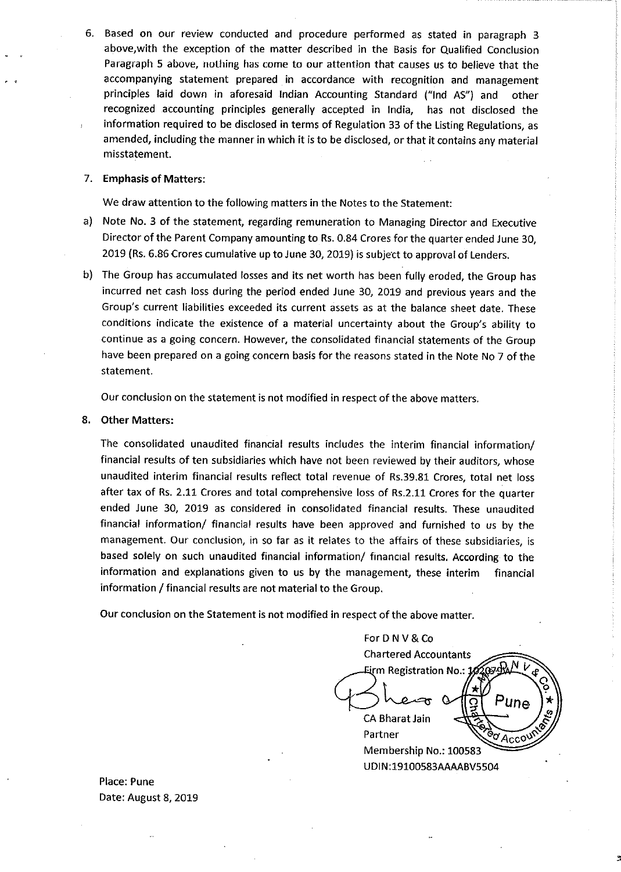6. Based on our review conducted and procedure performed as stated in paragraph 3 above,with the exception of the matter described in the Basis for Qualified Conclusion Paragraph 5 above, nothing has come to our attention that causes us to believe that the accompanying statement prepared in accordance with recognition and management principles laid down in aforesaid Indian Accounting Standard ("lnd AS") and other recognized accounting principles generally accepted in India, has not disclosed the information required to be disclosed in terms of Regulation 33 of the Listing Regulations, as amended, including the manner in which it is to be disclosed, or that it contains any material misstatement.

## 7. Emphasis of Matters:

We draw attention to the following matters in the Notes to the Statement:

- a) Note No. 3 of the statement, regarding remuneration to Managing Director and Executive Director of the Parent Company amounting to Rs. 0.84 Crores for the quarter ended June 30, 2019 (Rs. 6.86 Crores cumulative up to June 30, 2019) is subject to approval of Lenders.
- b) The Group has accumulated losses and its net worth has been fully eroded, the Group has incurred net cash loss during the period ended June 30, 2019 and previous years and the Group's current liabilities exceeded its current assets as at the balance sheet date. These conditions indicate the existence of a material uncertainty about the Group's ability to continue as a going concern. However, the consolidated financial statements of the Group have been prepared on a going concern basis for the reasons stated in the Note No 7 of the statement.

Our conclusion on the statement is not modified in respect of the above matters.

## 8. Other Matters:

The consolidated unaudited financial results includes the interim financial information/ financial results of ten subsidiaries which have not been reviewed by their auditors, whose unaudited interim financial results reflect total revenue of Rs.39.81 Crores, total net loss after tax of Rs. 2.11 Crores and total comprehensive loss of Rs.2.11 Crores for the quarter ended June 30, 2019 as considered in consolidated financial results. These unaudited financial information/ financial results have been approved and furnished to us by the management. Our conclusion, in so far as it relates to the affairs of these subsidiaries, is based solely on such unaudited financial information/ financial results. According to the information and explanations given to us by the management, these interim financial information / financial results are not material to the Group.

Our conclusion on the Statement is not modified in respect of the above matter.

For D N V & Co Chartered Accountants Eirm Registration No.: 1 Pune **CA Bharat Jain** Partner Partner<br>Membership No.: 100583 UDIN:19100583AAAABV5504

Place: Pune Date: August 8, 2019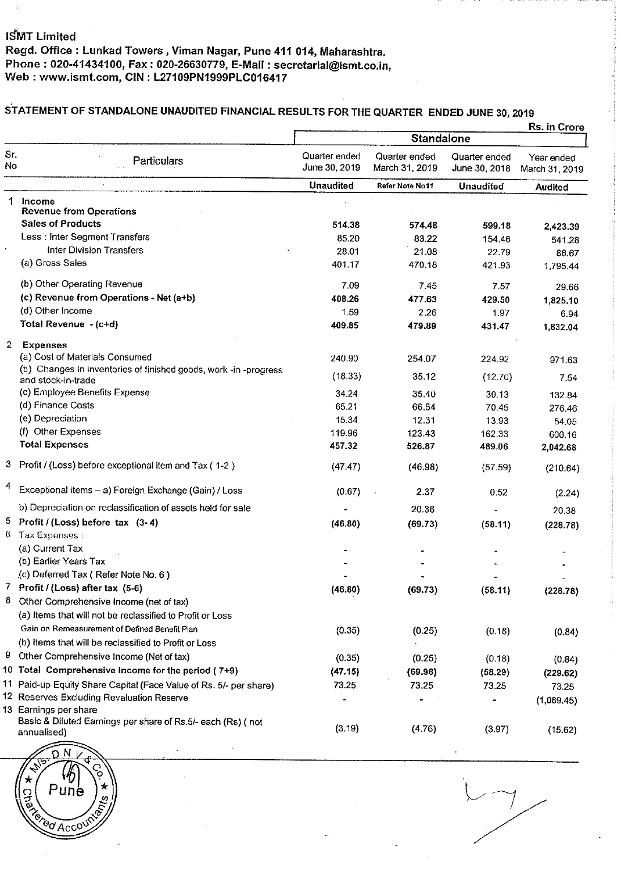# STATEMENT OF STANDALONE UNAUDITED FINANCIAL RESULTS FOR THE QUARTER ENDED JUNE 30, 2019

|              |                                                                                                      | Rs. in Crore                   |                                 |                                |                              |  |
|--------------|------------------------------------------------------------------------------------------------------|--------------------------------|---------------------------------|--------------------------------|------------------------------|--|
|              | <b>Particulars</b>                                                                                   |                                | <b>Standalone</b>               |                                |                              |  |
| Sr.<br>No    |                                                                                                      | Quarter ended<br>June 30, 2019 | Quarter ended<br>March 31, 2019 | Quarter ended<br>June 30, 2018 | Year ended<br>March 31, 2019 |  |
|              |                                                                                                      | <b>Unaudited</b>               | Refer Note No11                 | <b>Unaudited</b>               | <b>Audited</b>               |  |
| 1.           | Income                                                                                               |                                |                                 |                                |                              |  |
|              | <b>Revenue from Operations</b>                                                                       |                                |                                 |                                |                              |  |
|              | <b>Sales of Products</b>                                                                             | 514.38                         | 574.48                          | 599.18                         | 2,423.39                     |  |
|              | Less : Inter Segment Transfers                                                                       | 85.20                          | 83.22                           | 154.46                         | 541.28                       |  |
|              | <b>Inter Division Transfers</b><br>(a) Gross Sales                                                   | 28.01                          | 21.08                           | 22.79                          | 86.67                        |  |
|              |                                                                                                      | 401.17                         | 470.18                          | 421.93                         | 1,795.44                     |  |
|              | (b) Other Operating Revenue                                                                          | 7.09                           | 7.45                            | 7.57                           | 29.66                        |  |
|              | (c) Revenue from Operations - Net (a+b)                                                              | 408.26                         | 477.63                          | 429.50                         | 1,825.10                     |  |
|              | (d) Other Income                                                                                     | 1.59                           | 2.26                            | 1.97                           | 6.94                         |  |
|              | Total Revenue - (c+d)                                                                                | 409.85                         | 479.89                          | 431.47                         | 1,832.04                     |  |
| $\mathbf{2}$ | <b>Expenses</b>                                                                                      |                                |                                 |                                |                              |  |
|              | (a) Cost of Materials Consumed                                                                       | 240.90                         | 254.07                          | 224.92                         | 971.63                       |  |
|              | (b) Changes in inventories of finished goods, work -in -progress<br>and stock-in-trade               | (18.33)                        | 35.12                           | (12.70)                        | 7.54                         |  |
|              | (c) Employee Benefits Expense                                                                        | 34.24                          | 35.40                           | 30.13                          | 132.84                       |  |
|              | (d) Finance Costs                                                                                    | 65.21                          | 66.54                           | 70.45                          | 276.46                       |  |
|              | (e) Depreciation                                                                                     | 15.34                          | 12.31                           | 13.93                          | 54.05                        |  |
|              | (f) Other Expenses                                                                                   | 119.96                         | 123.43                          | 162.33                         | 600.16                       |  |
|              | <b>Total Expenses</b>                                                                                | 457.32                         | 526.87                          | 489.06                         | 2,042.68                     |  |
|              | 3 Profit / (Loss) before exceptional item and Tax (1-2)                                              | (47.47)                        | (46.98)                         | (57.59)                        | (210.64)                     |  |
| 4            | Exceptional items - a) Foreign Exchange (Gain) / Loss                                                | (0.67)                         | 2.37                            | 0.52                           | (2.24)                       |  |
|              | b) Depreciation on reclassification of assets held for sale                                          |                                | 20.38                           |                                | 20.38                        |  |
| 5.           | Profit / (Loss) before tax (3-4)                                                                     | (46.80)                        | (69.73)                         | (58.11)                        | (228.78)                     |  |
| 6            | Tax Expenses :                                                                                       |                                |                                 |                                |                              |  |
|              | (a) Current Tax                                                                                      |                                |                                 |                                |                              |  |
|              | (b) Earlier Years Tax                                                                                |                                |                                 |                                |                              |  |
|              | (c) Deferred Tax (Refer Note No. 6)                                                                  |                                |                                 |                                |                              |  |
|              | 7 Profit / (Loss) after tax (5-6)                                                                    | (46.80)                        | (69.73)                         | (58.11)                        | (228.78)                     |  |
| 8            | Other Comprehensive Income (net of tax)                                                              |                                |                                 |                                |                              |  |
|              | (a) Items that will not be reclassified to Profit or Loss                                            |                                |                                 |                                |                              |  |
|              | Gain on Remeasurement of Defined Benefit Plan                                                        | (0.35)                         | (0.25)                          | (0.18)                         | (0.84)                       |  |
|              | (b) Items that will be reclassified to Profit or Loss                                                |                                |                                 |                                |                              |  |
| 9            | Other Comprehensive Income (Net of tax)                                                              | (0.35)                         | (0.25)                          | (0.18)                         | (0.84)                       |  |
|              | 10 Total Comprehensive Income for the period (7+9)                                                   | (47.15)                        | (69.98)                         | (58.29)                        | (229.62)                     |  |
|              | 11 Paid-up Equity Share Capital (Face Value of Rs. 5/- per share)                                    | 73.25                          | 73.25                           | 73.25                          | 73.25                        |  |
|              | 12 Reserves Excluding Revaluation Reserve                                                            |                                |                                 |                                | (1,089.45)                   |  |
|              | 13 Earnings per share<br>Basic & Diluted Earnings per share of Rs.5/- each (Rs) ( not<br>annualised) | (3.19)                         | (4.76)                          | (3.97)                         | (15.62)                      |  |
|              |                                                                                                      |                                |                                 |                                |                              |  |



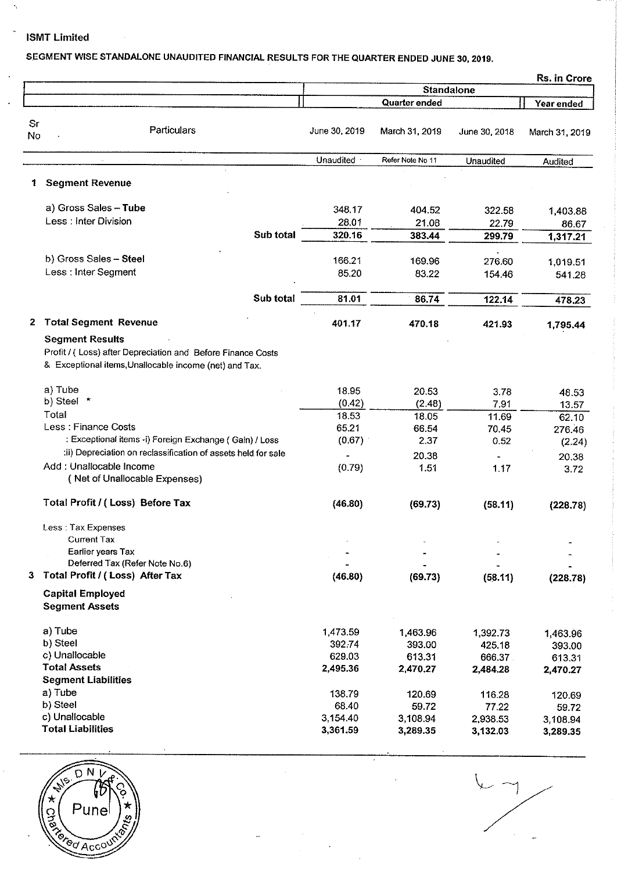## ISMT Limited

 $\hat{\mathcal{A}}$ 

ı.

l,

## SEGMENT WISE STANDALONE UNAUDITED FINANCIAL RESULTS FOR THE QUARTER ENDED JUNE 30, 2019.

|          |                                                                     |                      |                      |                      | Rs. in Crore       |
|----------|---------------------------------------------------------------------|----------------------|----------------------|----------------------|--------------------|
|          |                                                                     | <b>Standalone</b>    |                      |                      |                    |
|          |                                                                     |                      | Quarter ended        |                      | Year ended         |
| Sr<br>No | Particulars                                                         | June 30, 2019        | March 31, 2019       | June 30, 2018        | March 31, 2019     |
|          |                                                                     | Unaudited            | Refer Note No 11     | <b>Unaudited</b>     | Audited            |
| 1        | <b>Segment Revenue</b>                                              |                      |                      |                      |                    |
|          | a) Gross Sales - Tube                                               | 348.17               | 404.52               | 322.58               | 1,403.88           |
|          | Less: Inter Division                                                | 28.01                | 21.08                | 22.79                | 86.67              |
|          | Sub total                                                           | 320.16               | 383.44               | 299.79               | 1,317.21           |
|          | b) Gross Sales - Steel                                              | 166.21               | 169.96               | 276.60               |                    |
|          | Less : Inter Segment                                                | 85.20                | 83.22                | 154.46               | 1,019.51<br>541.28 |
|          |                                                                     |                      |                      |                      |                    |
|          | Sub total                                                           | 81.01                | 86.74                | 122.14               | 478.23             |
| 2        | <b>Total Segment Revenue</b>                                        | 401.17               | 470.18               | 421.93               | 1,795.44           |
|          | <b>Segment Results</b>                                              |                      |                      |                      |                    |
|          | Profit / (Loss) after Depreciation and Before Finance Costs         |                      |                      |                      |                    |
|          | & Exceptional items, Unallocable income (net) and Tax.              |                      |                      |                      |                    |
|          | a) Tube                                                             | 18.95                | 20.53                | 3.78                 | 48.53              |
|          | b) Steel<br>×                                                       | (0.42)               | (2.48)               | 7.91                 | 13.57              |
|          | Total                                                               | 18.53                | 18.05                | 11.69                | 62.10              |
|          | Less: Finance Costs                                                 | 65.21                | 66.54                | 70.45                | 276.46             |
|          | : Exceptional items -i) Foreign Exchange (Gain) / Loss              | (0.67)               | 2.37                 | 0.52                 | (2.24)             |
|          | :ii) Depreciation on reclassification of assets held for sale       |                      | 20.38                |                      | 20.38              |
|          | Add: Unallocable Income<br>(Net of Unallocable Expenses)            | (0.79)               | 1.51                 | 1.17                 | 3.72               |
|          | Total Profit / (Loss) Before Tax                                    | (46.80)              | (69.73)              | (58.11)              | (228.78)           |
|          | Less: Tax Expenses                                                  |                      |                      |                      |                    |
|          | <b>Current Tax</b>                                                  |                      |                      |                      |                    |
|          | Earlier years Tax                                                   |                      |                      |                      |                    |
|          | Deferred Tax (Refer Note No.6)<br>3 Total Profit / (Loss) After Tax |                      |                      |                      |                    |
|          |                                                                     | (46.80)              | (69.73)              | (58.11)              | (228.78)           |
|          | <b>Capital Employed</b><br><b>Segment Assets</b>                    |                      |                      |                      |                    |
|          | a) Tube                                                             | 1,473.59             | 1,463.96             | 1.392.73             |                    |
|          | b) Steel                                                            | 392.74               | 393.00               | 425.18               | 1,463.96<br>393,00 |
|          | c) Unallocable                                                      | 629.03               | 613.31               | 666.37               | 613.31             |
|          | <b>Total Assets</b>                                                 | 2,495.36             | 2,470.27             | 2,484.28             | 2,470.27           |
|          | <b>Segment Liabilities</b>                                          |                      |                      |                      |                    |
|          | a) Tube                                                             | 138.79               | 120.69               | 116.28               | 120.69             |
|          | b) Steel                                                            | 68.40                | 59.72                | 77.22                | 59.72              |
|          |                                                                     |                      |                      |                      |                    |
|          | c) Unallocable<br><b>Total Liabilities</b>                          | 3,154.40<br>3,361.59 | 3,108.94<br>3,289.35 | 2,938.53<br>3,132.03 | 3,108.94           |



 $\frac{2}{\sqrt{2}}$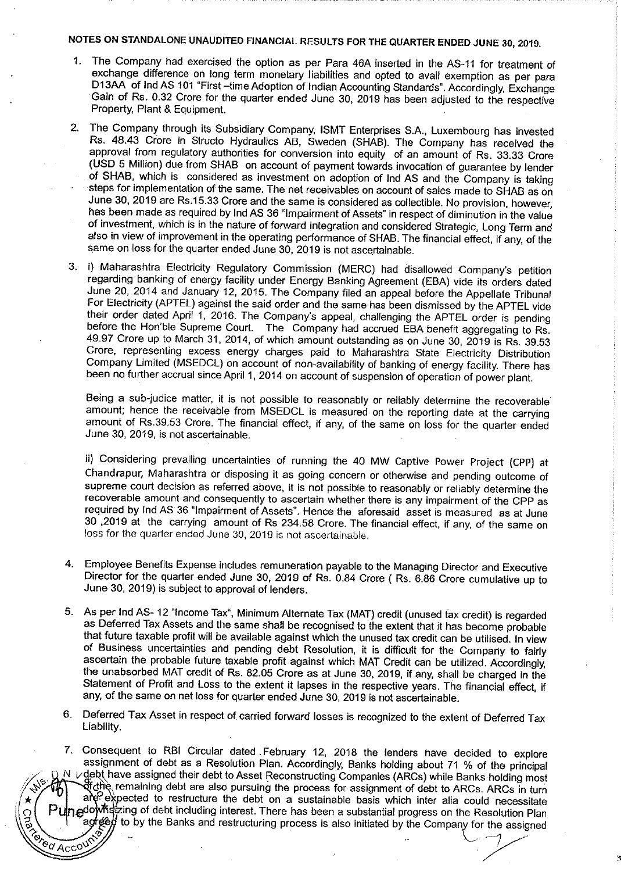## NOTES ON STANDALONE UNAUDITED FINANCIAL RFSULTS FOR THE QUARTER ENDED JUNE 30, 2019.

- 1. The Company had exercised the option as per Para 46A inserted in the AS-11 for treatment of exchange difference on long term monetary liabilities and opted to avail exemption as per para D13AA of Ind AS 101 "First -time Adoption of Indian Accounting Standards". Accordingly, Exchange Gain of Rs. 0.32 Crore for the quarter ended June 30, 2019 has been adjusted to the respective Property, Plant & Equipment.
- 2. The Company through its Subsidiary Company, ISMT Enterprises S.A., Luxembourg has invested Rs. 48.43 Crore in Structo Hydraulics AB, Sweden (SHAB). The Company has received the approval from regulatory authorities for conversion into equity of an amount of Rs. 33.33 Crore (USD 5 Million) due from SHAB on account of payment towards invocation of guarantee by lender of SHAB, which is considered as investment on adoption of lnd AS and the Company is taking steps for implementation of the same. The net receivables on account of sales made to SHAB as on June 30, 2019 are Rs.15.33 Crore and the same is considered as collectible. No provision, however, has been made as required by lnd AS 36 "Impairment of Assets" in respect of diminution in the value of investment, which is in the nature of forward integration and considered Strategic, Long Term and also in view of improvement in the operating performance of SHAB. The financial effect, if any, of the same on loss for the quarter ended June 30, 2019 is not ascertainable.
- 3. i) Maharashtra Electricity Regulatory Commission (MERC) had disallowed Company's petition regarding banking of energy facility under Energy Banking Agreement (EBA) vide its orders dated June 20, 2014 and January 12, 2015. The Company filed an appeal before the Appellate Tribunal For Electricity (APTEL) against the said order and the same has been dismissed by the APTEL vide their order dated April 1, 2016. The Company's appeal, challenging the APTEL order is pending before the Hon'ble Supreme Court. The Company had accrued EBA benefit aggregating to Rs. 49.97 Crore up to March 31, 2014, of which amount outstanding as on June 30, 2019 is Rs. 39.53 Crore, representing excess energy charges paid to Maharashtra State Electricity Distribution Company Limited (MSEDCL) on account of non-availability of banking of energy facility. There has been no further accrual since April 1, 2014 on account of suspension of operation of power plant.

Being a sub-judice matter, it is not possible to reasonably or reliably determine the recoverable amount; hence the receivable from MSEDCL is measured on the reporting date at the carrying amount of Rs.39.53 Crore. The financial effect, if any, of the same on loss for the quarter ended June 30, 2019, is not ascertainable.

ii) Considering prevailing uncertainties of running the 40 MW Captive Power Project (CPP) at Chandrapur, Maharashtra or disposing it as going concern or otherwise and pending outcome of supreme court decision as referred above, it is not possible to reasonably or reliably determine the recoverable amount and consequently to ascertain whether there is any impairment of the CPP as required by lnd AS 36 "Impairment of Assets". Hence the aforesaid asset is measured as at June <sup>30</sup>,2019 at the carrying amount of Rs 234.58 Crore. The financial effect, if any, of the same on loss for the quarter ended June 30, 2010 is not ascertainable.

- 4. Employee Benefits Expense includes remuneration payable to the Managing Director and Executive Director for the quarter ended June 30, 2019 of Rs. 0.84 Crore ( Rs. 6.86 Crore cumulative up to June 30, 2019) is subject to approval of lenders.
- 5. As per lnd AS- 12 "Income Tax", Minimum Alternate Tax (MAT) credit (unused tax credit) is regarded as Deferred Tax Assets and the same shall be recognised to the extent that it has become probable that future taxable profit will be available against which the unused tax credit can be utilised. In view of Business uncertainties and pending debt Resolution, it is difficult for the Company to fairly ascertain the probable future taxable profit against which MAT Credit can be utilized. Accordingly, the unabsorbed MAT credit of Rs. 82.05 Crore as at June 30, 2019, if any, shall be charged in the Statement of Profit and Loss to the extent it lapses in the respective years. The financial effect, if any, of the same on net loss for quarter ended June 30, 2019 is not ascertainable.
- 6. Deferred Tax Asset in respect of carried forward losses is recognized to the extent of Deferred Tax Liability.
- 7. Consequent to RBI Circular dated . February 12, 2018 the lenders have decided to explore assignment of debt as a Resolution Plan. Accordingly, Banks holding about 71 % of the principal N *v* debt have assigned their debt to Asset Reconstructing Companies (ARCs) while Banks holding most  $\bigcap$  of dhe remaining debt are also pursuing the process for assignment of debt to ARCs. ARCs in turn are expected to restructure the debt on a sustainable basis which inter alia could necessitate nedowhstzing of debt including interest. There has been a substantial progress on the Resolution Plan ad ged to by the Banks and restructuring process is also initiated by the Company for the assigned Torod Accounts and the Contract of the Contract of the Contract of Texas and Texas and Texas and Texas and Texas and

 $\epsilon$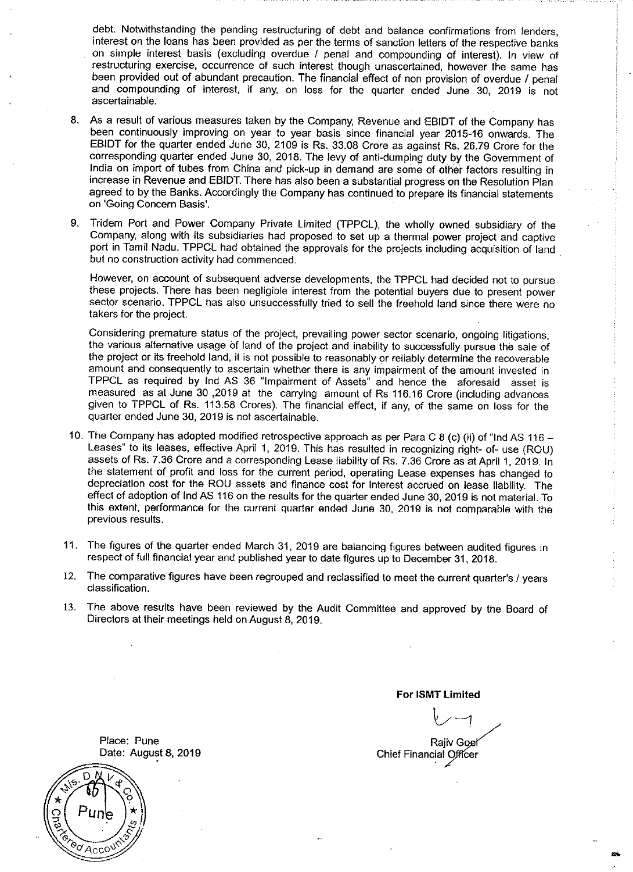debt. Notwithstanding the pending restructuring of debt and balance confirmations from lenders, interest on the loans has been provided as per the terms of sanction letters of the respective banks on simple interest basis (excluding overdue / penal and compounding of interest). In view of restructuring exercise, occurrence of such interest though unascertained, however the same has been provided out of abundant precaution. The financial effect of non provision of overdue / penal and compounding of interest, if any, on loss for the quarter ended June 30, 2019 is not ascertainable.

- 8. As a result of various measures taken by the Company, Revenue and EBIDT of the Company has been continuously improving on year to year basis since financial year 2015-16 onwards. The EBIDT for the quarter ended June 30, 2109 is Rs. 33.08 Crore as against Rs. 26.79 Crore for the corresponding quarter ended June 30, 2018. The levy of anti-dumping duty by the Government of India on import of tubes from China and pick-up in demand are some of other factors resulting in increase in Revenue and EBIDT. There has also been a substantial progress on the Resolution Plan agreed to by the Banks. Accordingly the Company has continued to prepare its financial statements on 'Going Concern Basis'.
- 9. Tridem Port and Power Company Private Limited (TPPCL), the wholly owned subsidiary of the Company, along with its subsidiaries had proposed to set up a thermal power project and captive port in Tamil Nadu. TPPCL had obtained the approvals for the projects including acquisition of land but no construction activity had commenced.

However, on account of subsequent adverse developments, the TPPCL had decided not to pursue these projects. There has been negligible interest from the potential buyers due to present power sector scenario. TPPCL has also unsuccessfully tried to sell the freehold land since there were no takers for the project.

Considering premature status of the project, prevailing power sector scenario, ongoing litigations, the various alternative usage of land of the project and inability to successfully pursue the sale of the project or its freehold land, it is not possible to reasonably or reliably determine the recoverable amount and consequently to ascertain whether there is any impairment of the amount invested in TPPCL as required by lnd AS 36 "Impairment of Assets" and hence the aforesaid asset is measured as at June 30 ,2019 at the carrying amount of Rs 116.16 Crore (including advances given to TPPCL of Rs. 113.58 Crores). The financial effect, if any, of the same on loss for the quarter ended June 30, 2019 is not ascertainable.

- 10. The Company has adopted modified retrospective approach as per Para C 8 (c) (ii) of "lnd AS 116- Leases" to its leases, effective April 1, 2019. This has resulted in recognizing right- of- use (ROU) assets of Rs. 7.36 Crore and a corresponding Lease liability of Rs. 7.36 Crore as at April 1, 2019. In the statement of profit and loss for the current period, operating Lease expenses has changed to depreciation cost for the ROU assets and finance cost for Interest accrued on lease liability. The effect of adoption of lnd AS 116 on the results for the quarter ended June 30, 2019 is not material. To this extent, performance for the current quarter ended June 30, 2019 is not comparable with the previous results.
- 11. The figures of the quarter ended March 31,2019 are balancing figures between audited figures in respect of full financial year and published year to date figures up to December 31, 2018.
- 12. The comparative figures have been regrouped and reclassified to meet the current quarter's / years classification.
- 13. The above results have been reviewed by the Audit Committee and approved by the Board of Directors at their meetings held on August 8, 2019.

**For ISMT Limited** 

~~ **Rajiv Goel** Chief Financial Officer

Place: Pune Date: August 8, 2019

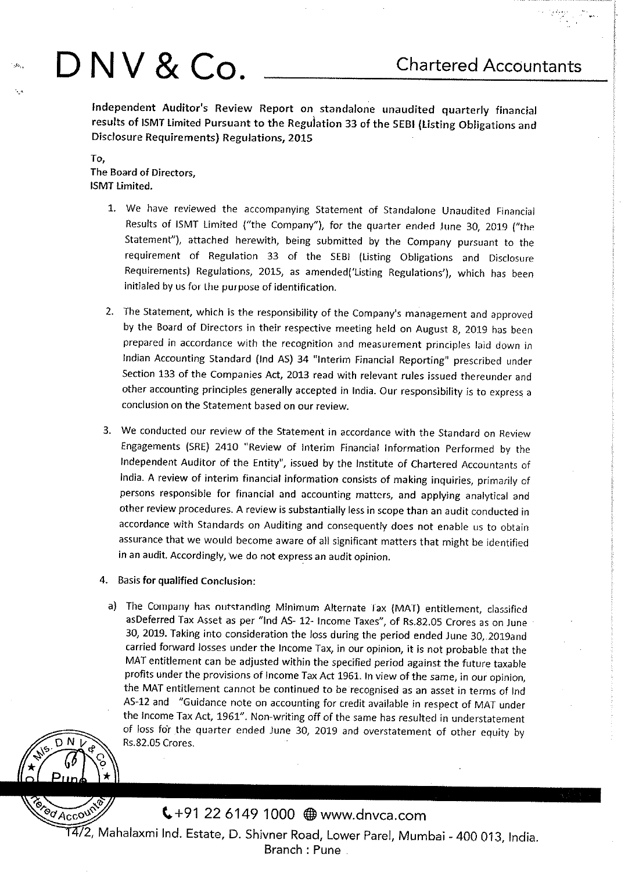# J: ... **D NV & Co. Chartered Accountants**

Independent Auditor's Review Report on standalone unaudited quarterly financial results of ISMT limited Pursuant to the Regulation 33 of the SEBI (listing Obligations and Disclosure Requirements) Regulations, 201S

To, The Board of Directors, ISMT limited.

- 1. We have reviewed the accompanying Statement of Standalone Unaudited Financial Results of ISMT Limited ("the Company"), for the quarter ended June 30, 2019 ("the Statement"), attached herewith, being submitted by the Company pursuant to the requirement of Regulation 33 of the SEBI (Listing Obligations and Disclosure Requirements) Regulations, 2015, as amended('Listing Regulations'), which has been initialed by us for the purpose of identification.
- 2. The Statement, which is the responsibility of the Company's management and approved by the Board of Directors in their respective meeting held on August 8, 2019 has been prepared in accordance with the recognition and measurement principles laid down in Indian Accounting Standard (lnd AS) 34 "Interim Financial Reporting" prescribed under Section 133 of the Companies Act, 2013 read with relevant rules issued thereunder and other accounting principles generally accepted in India. Our responsibility is to express <sup>a</sup> conclusion on the Statement based on our review.
- 3. We conducted our review of the Statement in accordance with the Standard on Review Engagements (SRE) 2410 "Review of Interim Financial Information Performed by the Independent Auditor of the Entity", issued by the Institute of Chartered Accountants of India. A review of interim financial information consists of making inquiries, primarily of persons responsible for financial and nccounting matters, and applying analytical and other review procedures. A review is substantially less in scope than an audit conducted in accordance with Standards on Auditing and consequently does not enable us to obtain assurance that we would become aware of all significant matters that might be identified in an audit. Accordingly, we do not express an audit opinion.
- 4. Basis for qualified Conclusion:
- a) The Company has outstanding Minimum Alternate Tax (MAT) entitlement, classified asDeferred Tax Asset as per "lnd AS- 12- Income Taxes", of Rs.82.05 Crores as on June 30, 2019. Taking into consideration the loss during the period ended June 30, 2019and carried forward losses under the Income Tax, in our opinion, it is not probable that the MAT entitlement can be adjusted within the specified period against the future taxable profits under the provisions of Income Tax Act 1961. In view of the same, in our opinion, the MAT entitlement cannot be continued to be recognised as an asset in terms of lnd AS-12 and "Guidance note on accounting for credit available in respect of MAT under the Income Tax Act, 1961". Non-writing off of the same has resulted in understatement of loss for the quarter ended June 30, 2019 and overstatement of other equity by Rs.82.05 Crores.



(.+91 22 6149 1000 @) www.dnvca.com

Ted Account  $\widetilde{14/2}$ , Mahalaxmi Ind. Estate, D. Shivner Road, Lower Parel, Mumbai - 400 013, India. Branch : Pune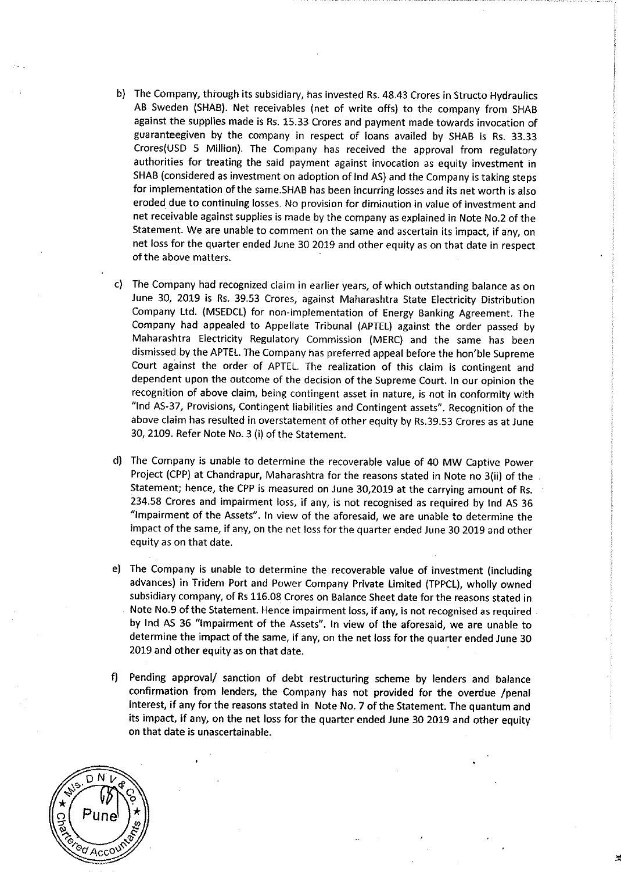- b) The Company, through its subsidiary, has invested Rs. 48.43 Crores in Structo Hydraulics AB Sweden (SHAB). Net receivables (net of write offs) to the company from SHAB against the supplies made is Rs. 15.33 Crores and payment made towards invocation of guaranteegiven by the company in respect of loans availed by SHAB is Rs. 33.33 Crores(USD 5 Million). The Company has received the approval from regulatory authorities for treating the said payment against invocation as equity investment in SHAB (considered as investment on adoption of lnd AS) and the Company is taking steps for implementation of the same. SHAB has been incurring losses and its net worth is also eroded due to continuing losses. No provision for diminution in value of investment and net receivable against supplies is made by the company as explained in Note No.2 of the Statement. We are unable to comment on the same and ascertain its impact, if any, on net loss for the quarter ended June 30 2019 and other equity as on that date in respect of the above matters.
- c) The Company had recognized claim in earlier years, of which outstanding balance as on June 30, 2019 is Rs. 39.53 Crores, against Maharashtra State Electricity Distribution Company Ltd. (MSEDCL) for non-implementation of Energy Banking Agreement. The Company had appealed to Appellate Tribunal (APTEL) against the order passed by Maharashtra Electricity Regulatory Commission (MERC) and the same has been dismissed by the APTEL. The Company has preferred appeal before the hon'ble Supreme Court against the order of APTEL. The realization of this claim is contingent and dependent upon the outcome of the decision of the Supreme Court. In our opinion the recognition of above claim, being contingent asset in nature, is not in conformity with "lnd AS-37, Provisions, Contingent liabilities and Contingent assets". Recognition of the above claim has resulted in overstatement of other equity by Rs.39.53 Crores as at June 30, 2109. Refer Note No.3 (i) of the Statement.
- d) The Company is unable to determine the recoverable value of 40 MW Captive Power Project (CPP) at Chandrapur, Maharashtra for the reasons stated in Note no 3(ii) of the Statement; hence, the CPP is measured on June 30,2019 at the carrying amount of Rs. 234.58 Crores and impairment loss, if any, is not recognised as required by lnd AS <sup>36</sup> "Impairment of the Assets". In view of the aforesaid, we are unable to determine the impact of the same, if any, on the net loss for the quarter ended June 30 2019 and other equity as on that date.
- e) The Company is unable to determine the recoverable value of investment (including advances) in Tridem Port and Power Company Private limited (TPPCL), wholly owned subsidiary company, of Rs 116.08 Crores on Balance Sheet date for the reasons stated in Note No.9 of the Statement. Hence impairment loss, if any, is not recognised as required by lnd AS 36 "Impairment of the Assets". In view of the aforesaid, we are unable to determine the impact of the same, if any, on the net loss for the quarter ended June 30 2019 and other equity as on that date.
- f) Pending approval/ sanction of debt restructuring scheme by lenders and balance confirmation from lenders, the Company has not provided for the overdue /penal interest, if any for the reasons stated in Note No.7 of the Statement. The quantum and its impact, if any, on the net loss for the quarter ended June 30 2019 and other equity on that date is unascertainable.